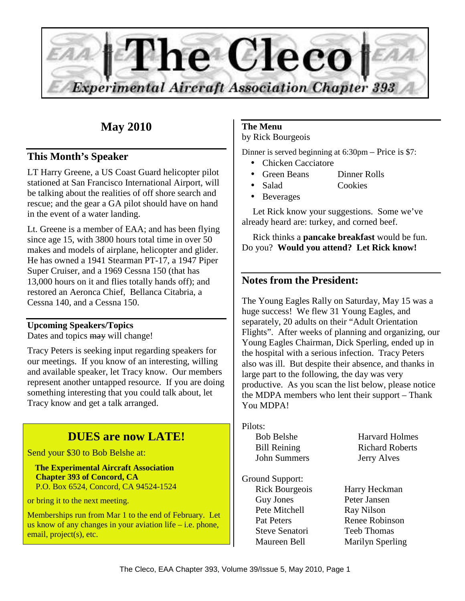

# **May 2010**

## **This Month's Speaker**

LT Harry Greene, a US Coast Guard helicopter pilot stationed at San Francisco International Airport, will be talking about the realities of off shore search and rescue; and the gear a GA pilot should have on hand in the event of a water landing.

Lt. Greene is a member of EAA; and has been flying since age 15, with 3800 hours total time in over 50 makes and models of airplane, helicopter and glider. He has owned a 1941 Stearman PT-17, a 1947 Piper Super Cruiser, and a 1969 Cessna 150 (that has 13,000 hours on it and flies totally hands off); and restored an Aeronca Chief, Bellanca Citabria, a Cessna 140, and a Cessna 150.

## **Upcoming Speakers/Topics**

Dates and topics may will change!

Tracy Peters is seeking input regarding speakers for our meetings. If you know of an interesting, willing and available speaker, let Tracy know. Our members represent another untapped resource. If you are doing something interesting that you could talk about, let Tracy know and get a talk arranged.

# **DUES are now LATE!**

Send your \$30 to Bob Belshe at:

 **The Experimental Aircraft Association Chapter 393 of Concord, CA**  P.O. Box 6524, Concord, CA 94524-1524

or bring it to the next meeting.

Memberships run from Mar 1 to the end of February. Let us know of any changes in your aviation life  $-$  i.e. phone, email, project(s), etc.

## **The Menu**

by Rick Bourgeois

Dinner is served beginning at 6:30pm – Price is \$7:

- Chicken Cacciatore
- Green Beans Dinner Rolls
- Salad Cookies
- Beverages

Let Rick know your suggestions. Some we've already heard are: turkey, and corned beef.

Rick thinks a **pancake breakfast** would be fun. Do you? **Would you attend? Let Rick know!** 

## **Notes from the President:**

The Young Eagles Rally on Saturday, May 15 was a huge success! We flew 31 Young Eagles, and separately, 20 adults on their "Adult Orientation Flights". After weeks of planning and organizing, our Young Eagles Chairman, Dick Sperling, ended up in the hospital with a serious infection. Tracy Peters also was ill. But despite their absence, and thanks in large part to the following, the day was very productive. As you scan the list below, please notice the MDPA members who lent their support – Thank You MDPA!

Pilots: John Summers Jerry Alves

Ground Support: Guy Jones Peter Jansen Pete Mitchell Ray Nilson Steve Senatori Teeb Thomas

Bob Belshe Harvard Holmes Bill Reining Richard Roberts

Rick Bourgeois Harry Heckman Pat Peters Renee Robinson Maureen Bell Marilyn Sperling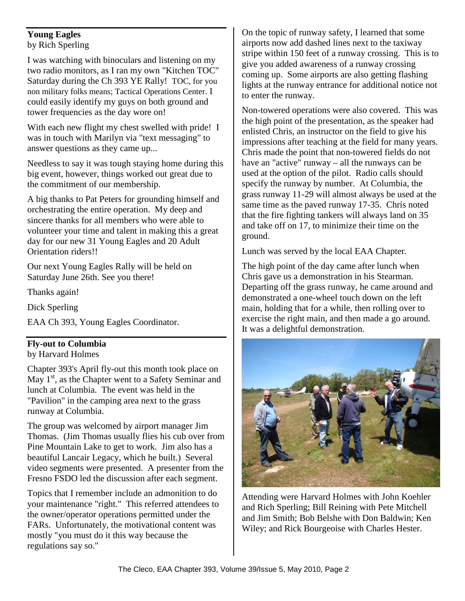#### **Young Eagles**  by Rich Sperling

I was watching with binoculars and listening on my two radio monitors, as I ran my own "Kitchen TOC" Saturday during the Ch 393 YE Rally! TOC, for you non military folks means; Tactical Operations Center. I could easily identify my guys on both ground and tower frequencies as the day wore on!

With each new flight my chest swelled with pride! I was in touch with Marilyn via "text messaging" to answer questions as they came up...

Needless to say it was tough staying home during this big event, however, things worked out great due to the commitment of our membership.

A big thanks to Pat Peters for grounding himself and orchestrating the entire operation. My deep and sincere thanks for all members who were able to volunteer your time and talent in making this a great day for our new 31 Young Eagles and 20 Adult Orientation riders!!

Our next Young Eagles Rally will be held on Saturday June 26th. See you there!

Thanks again!

Dick Sperling

EAA Ch 393, Young Eagles Coordinator.

## **Fly-out to Columbia**

#### by Harvard Holmes

Chapter 393's April fly-out this month took place on May  $1<sup>st</sup>$ , as the Chapter went to a Safety Seminar and lunch at Columbia. The event was held in the "Pavilion" in the camping area next to the grass runway at Columbia.

The group was welcomed by airport manager Jim Thomas. (Jim Thomas usually flies his cub over from Pine Mountain Lake to get to work. Jim also has a beautiful Lancair Legacy, which he built.) Several video segments were presented. A presenter from the Fresno FSDO led the discussion after each segment.

Topics that I remember include an admonition to do your maintenance "right." This referred attendees to the owner/operator operations permitted under the FARs. Unfortunately, the motivational content was mostly "you must do it this way because the regulations say so."

On the topic of runway safety, I learned that some airports now add dashed lines next to the taxiway stripe within 150 feet of a runway crossing. This is to give you added awareness of a runway crossing coming up. Some airports are also getting flashing lights at the runway entrance for additional notice not to enter the runway.

Non-towered operations were also covered. This was the high point of the presentation, as the speaker had enlisted Chris, an instructor on the field to give his impressions after teaching at the field for many years. Chris made the point that non-towered fields do not have an "active" runway – all the runways can be used at the option of the pilot. Radio calls should specify the runway by number. At Columbia, the grass runway 11-29 will almost always be used at the same time as the paved runway 17-35. Chris noted that the fire fighting tankers will always land on 35 and take off on 17, to minimize their time on the ground.

Lunch was served by the local EAA Chapter.

The high point of the day came after lunch when Chris gave us a demonstration in his Stearman. Departing off the grass runway, he came around and demonstrated a one-wheel touch down on the left main, holding that for a while, then rolling over to exercise the right main, and then made a go around. It was a delightful demonstration.



Attending were Harvard Holmes with John Koehler and Rich Sperling; Bill Reining with Pete Mitchell and Jim Smith; Bob Belshe with Don Baldwin; Ken Wiley; and Rick Bourgeoise with Charles Hester.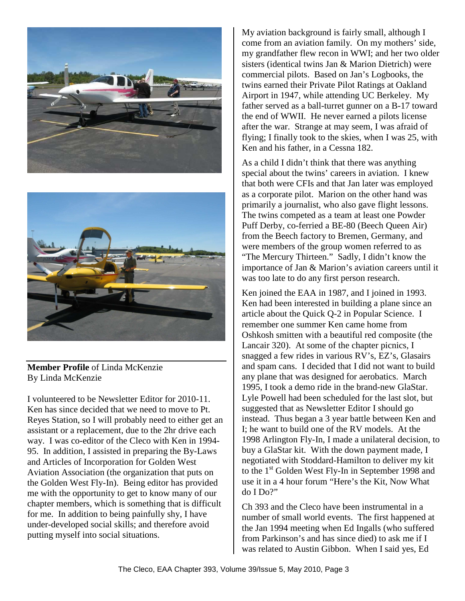



**Member Profile** of Linda McKenzie By Linda McKenzie

I volunteered to be Newsletter Editor for 2010-11. Ken has since decided that we need to move to Pt. Reyes Station, so I will probably need to either get an assistant or a replacement, due to the 2hr drive each way. I was co-editor of the Cleco with Ken in 1994- 95. In addition, I assisted in preparing the By-Laws and Articles of Incorporation for Golden West Aviation Association (the organization that puts on the Golden West Fly-In). Being editor has provided me with the opportunity to get to know many of our chapter members, which is something that is difficult for me. In addition to being painfully shy, I have under-developed social skills; and therefore avoid putting myself into social situations.

My aviation background is fairly small, although I come from an aviation family. On my mothers' side, my grandfather flew recon in WWI; and her two older sisters (identical twins Jan & Marion Dietrich) were commercial pilots. Based on Jan's Logbooks, the twins earned their Private Pilot Ratings at Oakland Airport in 1947, while attending UC Berkeley. My father served as a ball-turret gunner on a B-17 toward the end of WWII. He never earned a pilots license after the war. Strange at may seem, I was afraid of flying; I finally took to the skies, when I was 25, with Ken and his father, in a Cessna 182.

As a child I didn't think that there was anything special about the twins' careers in aviation. I knew that both were CFIs and that Jan later was employed as a corporate pilot. Marion on the other hand was primarily a journalist, who also gave flight lessons. The twins competed as a team at least one Powder Puff Derby, co-ferried a BE-80 (Beech Queen Air) from the Beech factory to Bremen, Germany, and were members of the group women referred to as "The Mercury Thirteen." Sadly, I didn't know the importance of Jan & Marion's aviation careers until it was too late to do any first person research.

Ken joined the EAA in 1987, and I joined in 1993. Ken had been interested in building a plane since an article about the Quick Q-2 in Popular Science. I remember one summer Ken came home from Oshkosh smitten with a beautiful red composite (the Lancair 320). At some of the chapter picnics, I snagged a few rides in various RV's, EZ's, Glasairs and spam cans. I decided that I did not want to build any plane that was designed for aerobatics. March 1995, I took a demo ride in the brand-new GlaStar. Lyle Powell had been scheduled for the last slot, but suggested that as Newsletter Editor I should go instead. Thus began a 3 year battle between Ken and I; he want to build one of the RV models. At the 1998 Arlington Fly-In, I made a unilateral decision, to buy a GlaStar kit. With the down payment made, I negotiated with Stoddard-Hamilton to deliver my kit to the 1<sup>st</sup> Golden West Fly-In in September 1998 and use it in a 4 hour forum "Here's the Kit, Now What do I Do?"

Ch 393 and the Cleco have been instrumental in a number of small world events. The first happened at the Jan 1994 meeting when Ed Ingalls (who suffered from Parkinson's and has since died) to ask me if I was related to Austin Gibbon. When I said yes, Ed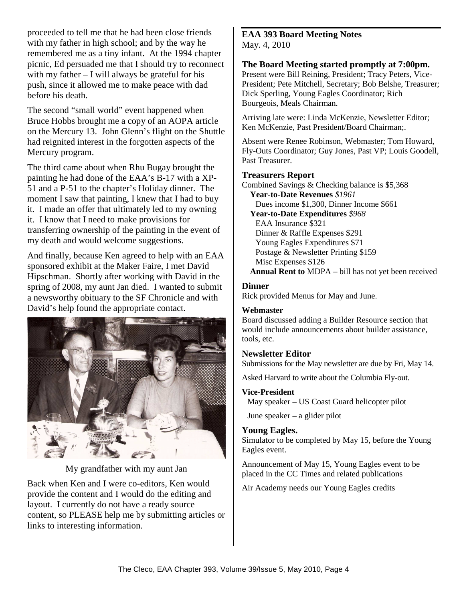proceeded to tell me that he had been close friends with my father in high school; and by the way he remembered me as a tiny infant. At the 1994 chapter picnic, Ed persuaded me that I should try to reconnect with my father – I will always be grateful for his push, since it allowed me to make peace with dad before his death.

The second "small world" event happened when Bruce Hobbs brought me a copy of an AOPA article on the Mercury 13. John Glenn's flight on the Shuttle had reignited interest in the forgotten aspects of the Mercury program.

The third came about when Rhu Bugay brought the painting he had done of the EAA's B-17 with a XP-51 and a P-51 to the chapter's Holiday dinner. The moment I saw that painting, I knew that I had to buy it. I made an offer that ultimately led to my owning it. I know that I need to make provisions for transferring ownership of the painting in the event of my death and would welcome suggestions.

And finally, because Ken agreed to help with an EAA sponsored exhibit at the Maker Faire, I met David Hipschman. Shortly after working with David in the spring of 2008, my aunt Jan died. I wanted to submit a newsworthy obituary to the SF Chronicle and with David's help found the appropriate contact.



My grandfather with my aunt Jan

Back when Ken and I were co-editors, Ken would provide the content and I would do the editing and layout. I currently do not have a ready source content, so PLEASE help me by submitting articles or links to interesting information.

#### **EAA 393 Board Meeting Notes**  May. 4, 2010

#### **The Board Meeting started promptly at 7:00pm.**

Present were Bill Reining, President; Tracy Peters, Vice-President; Pete Mitchell, Secretary; Bob Belshe, Treasurer; Dick Sperling, Young Eagles Coordinator; Rich Bourgeois, Meals Chairman.

Arriving late were: Linda McKenzie, Newsletter Editor; Ken McKenzie, Past President/Board Chairman;.

Absent were Renee Robinson, Webmaster; Tom Howard, Fly-Outs Coordinator; Guy Jones, Past VP; Louis Goodell, Past Treasurer.

#### **Treasurers Report**

Combined Savings & Checking balance is \$5,368 **Year-to-Date Revenues** *\$1961*  Dues income \$1,300, Dinner Income \$661 **Year-to-Date Expenditures** *\$968*  EAA Insurance \$321 Dinner & Raffle Expenses \$291 Young Eagles Expenditures \$71 Postage & Newsletter Printing \$159 Misc Expenses \$126 **Annual Rent to** MDPA – bill has not yet been received

## **Dinner**

Rick provided Menus for May and June.

## **Webmaster**

Board discussed adding a Builder Resource section that would include announcements about builder assistance, tools, etc.

## **Newsletter Editor**

Submissions for the May newsletter are due by Fri, May 14.

Asked Harvard to write about the Columbia Fly-out.

## **Vice-President**

May speaker – US Coast Guard helicopter pilot

June speaker – a glider pilot

## **Young Eagles.**

Simulator to be completed by May 15, before the Young Eagles event.

Announcement of May 15, Young Eagles event to be placed in the CC Times and related publications

Air Academy needs our Young Eagles credits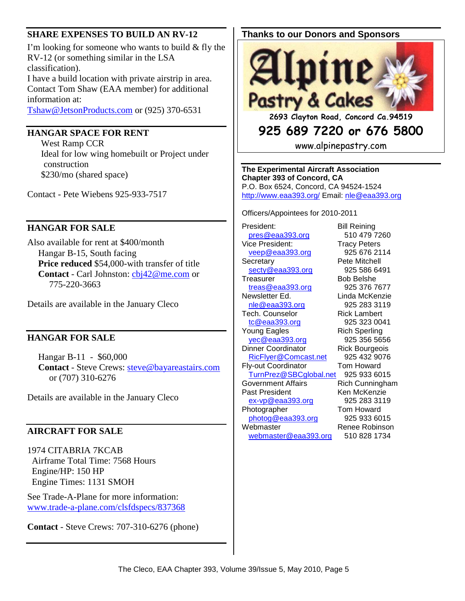#### **SHARE EXPENSES TO BUILD AN RV-12**

I'm looking for someone who wants to build & fly the RV-12 (or something similar in the LSA classification).

I have a build location with private airstrip in area. Contact Tom Shaw (EAA member) for additional information at:

Tshaw@JetsonProducts.com or (925) 370-6531

#### **HANGAR SPACE FOR RENT**

 West Ramp CCR Ideal for low wing homebuilt or Project under construction \$230/mo (shared space)

Contact - Pete Wiebens 925-933-7517

#### **HANGAR FOR SALE**

Also available for rent at \$400/month Hangar B-15, South facing **Price reduced** \$54,000-with transfer of title **Contact** - Carl Johnston: cbj42@me.com or 775-220-3663

Details are available in the January Cleco

#### **HANGAR FOR SALE**

Hangar B-11 - \$60,000 **Contact** - Steve Crews: steve@bayareastairs.com or (707) 310-6276

Details are available in the January Cleco

#### **AIRCRAFT FOR SALE**

1974 CITABRIA 7KCAB Airframe Total Time: 7568 Hours Engine/HP: 150 HP Engine Times: 1131 SMOH

See Trade-A-Plane for more information: www.trade-a-plane.com/clsfdspecs/837368

**Contact** - Steve Crews: 707-310-6276 (phone)

#### **Thanks to our Donors and Sponsors**



**2693 Clayton Road, Concord Ca.94519** 

# **925 689 7220 or 676 5800**

www.alpinepastry.com

**The Experimental Aircraft Association Chapter 393 of Concord, CA**  P.O. Box 6524, Concord, CA 94524-1524 http://www.eaa393.org/ Email: nle@eaa393.org

Officers/Appointees for 2010-2011

President: Bill Reining pres@eaa393.org 510 479 7260 Vice President: Tracy Peters veep@eaa393.org 925 676 2114 Secretary **Pete Mitchell** secty@eaa393.org 925 586 6491 Treasurer Bob Belshe treas@eaa393.org 925 376 7677 Newsletter Ed. Linda McKenzie nle@eaa393.org 925 283 3119 Tech. Counselor Rick Lambert tc@eaa393.org 925 323 0041 Young Eagles **Rich Sperling** yec@eaa393.org 925 356 5656 Dinner Coordinator **Rick Bourgeois** RicFlyer@Comcast.net 925 432 9076 Fly-out Coordinator Tom Howard TurnPrez@SBCglobal.net 925 933 6015 Government Affairs **Rich Cunningham** Past President Ken McKenzie ex-vp@eaa393.org 925 283 3119 Photographer Tom Howard photog@eaa393.org 925 933 6015 Webmaster Renee Robinson webmaster@eaa393.org 510 828 1734